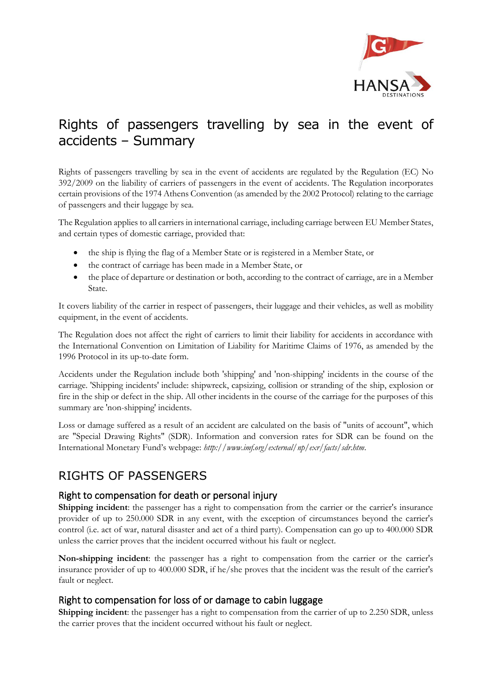

# Rights of passengers travelling by sea in the event of accidents – Summary

Rights of passengers travelling by sea in the event of accidents are regulated by the Regulation (EC) No 392/2009 on the liability of carriers of passengers in the event of accidents. The Regulation incorporates certain provisions of the 1974 Athens Convention (as amended by the 2002 Protocol) relating to the carriage of passengers and their luggage by sea.

The Regulation applies to all carriers in international carriage, including carriage between EU Member States, and certain types of domestic carriage, provided that:

- the ship is flying the flag of a Member State or is registered in a Member State, or
- the contract of carriage has been made in a Member State, or
- the place of departure or destination or both, according to the contract of carriage, are in a Member State.

It covers liability of the carrier in respect of passengers, their luggage and their vehicles, as well as mobility equipment, in the event of accidents.

The Regulation does not affect the right of carriers to limit their liability for accidents in accordance with the International Convention on Limitation of Liability for Maritime Claims of 1976, as amended by the 1996 Protocol in its up-to-date form.

Accidents under the Regulation include both 'shipping' and 'non-shipping' incidents in the course of the carriage. 'Shipping incidents' include: shipwreck, capsizing, collision or stranding of the ship, explosion or fire in the ship or defect in the ship. All other incidents in the course of the carriage for the purposes of this summary are 'non-shipping' incidents.

Loss or damage suffered as a result of an accident are calculated on the basis of "units of account", which are "Special Drawing Rights" (SDR). Information and conversion rates for SDR can be found on the International Monetary Fund's webpage: *http://www.imf.org/external/np/exr/facts/sdr.htm*.

## RIGHTS OF PASSENGERS

### Right to compensation for death or personal injury

**Shipping incident:** the passenger has a right to compensation from the carrier or the carrier's insurance provider of up to 250.000 SDR in any event, with the exception of circumstances beyond the carrier's control (i.e. act of war, natural disaster and act of a third party). Compensation can go up to 400.000 SDR unless the carrier proves that the incident occurred without his fault or neglect.

**Non-shipping incident**: the passenger has a right to compensation from the carrier or the carrier's insurance provider of up to 400.000 SDR, if he/she proves that the incident was the result of the carrier's fault or neglect.

#### Right to compensation for loss of or damage to cabin luggage

**Shipping incident:** the passenger has a right to compensation from the carrier of up to 2.250 SDR, unless the carrier proves that the incident occurred without his fault or neglect.